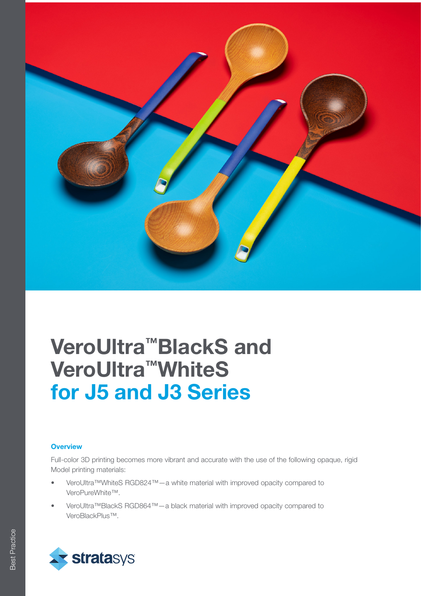

# VeroUltra™BlackS and VeroUltra™WhiteS for J5 and J3 Series

### **Overview**

Full-color 3D printing becomes more vibrant and accurate with the use of the following opaque, rigid Model printing materials:

- VeroUltra™WhiteS RGD824™—a white material with improved opacity compared to VeroPureWhite™.
- VeroUltra™BlackS RGD864™—a black material with improved opacity compared to VeroBlackPlus™.

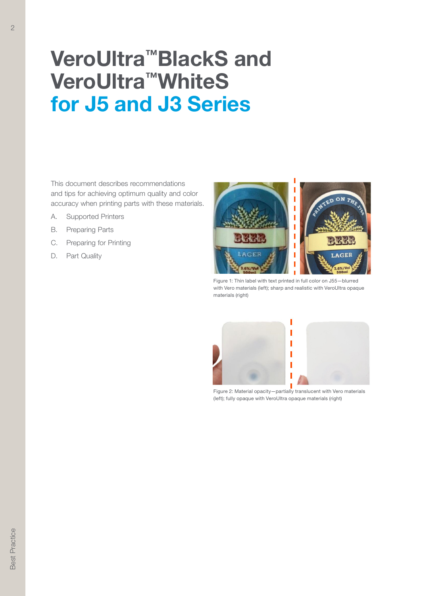# VeroUltra™BlackS and VeroUltra™WhiteS for J5 and J3 Series

This document describes recommendations and tips for achieving optimum quality and color accuracy when printing parts with these materials.

- A. Supported Printers
- B. Preparing Parts
- C. Preparing for Printing
- D. Part Quality



Figure 1: Thin label with text printed in full color on J55—blurred with Vero materials (left); sharp and realistic with VeroUltra opaque materials (right)



Figure 2: Material opacity—partially translucent with Vero materials (left); fully opaque with VeroUltra opaque materials (right)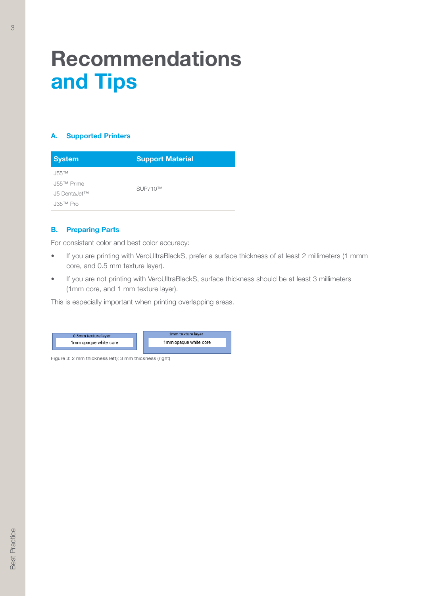# Recommendations and Tips

### A. Supported Printers

| <b>System</b>           | <b>Support Material</b> |
|-------------------------|-------------------------|
| $J55$ <sub>TM</sub>     | SUP710™                 |
| J55™ Prime              |                         |
| J5 DentaJet™            |                         |
| $J35$ <sup>TM</sup> Pro |                         |

### B. Preparing Parts

For consistent color and best color accuracy:

- If you are printing with VeroUltraBlackS, prefer a surface thickness of at least 2 millimeters (1 mmm core, and 0.5 mm texture layer).
- If you are not printing with VeroUltraBlackS, surface thickness should be at least 3 millimeters (1mm core, and 1 mm texture layer).

This is especially important when printing overlapping areas.



Figure 3: 2 mm thickness left); 3 mm thickness (right)